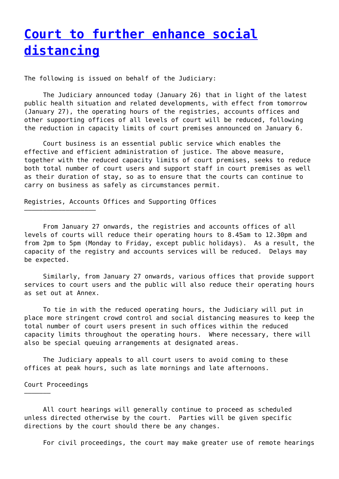## **[Court to further enhance social](http://www.government-world.com/court-to-further-enhance-social-distancing/) [distancing](http://www.government-world.com/court-to-further-enhance-social-distancing/)**

The following is issued on behalf of the Judiciary:

 The Judiciary announced today (January 26) that in light of the latest public health situation and related developments, with effect from tomorrow (January 27), the operating hours of the registries, accounts offices and other supporting offices of all levels of court will be reduced, following the reduction in capacity limits of court premises announced on January 6.

 Court business is an essential public service which enables the effective and efficient administration of justice. The above measure, together with the reduced capacity limits of court premises, seeks to reduce both total number of court users and support staff in court premises as well as their duration of stay, so as to ensure that the courts can continue to carry on business as safely as circumstances permit.

Registries, Accounts Offices and Supporting Offices

 From January 27 onwards, the registries and accounts offices of all levels of courts will reduce their operating hours to 8.45am to 12.30pm and from 2pm to 5pm (Monday to Friday, except public holidays). As a result, the capacity of the registry and accounts services will be reduced. Delays may be expected.

 Similarly, from January 27 onwards, various offices that provide support services to court users and the public will also reduce their operating hours as set out at Annex.

 To tie in with the reduced operating hours, the Judiciary will put in place more stringent crowd control and social distancing measures to keep the total number of court users present in such offices within the reduced capacity limits throughout the operating hours. Where necessary, there will also be special queuing arrangements at designated areas.

 The Judiciary appeals to all court users to avoid coming to these offices at peak hours, such as late mornings and late afternoons.

## Court Proceedings

——————–

———————————————————

 All court hearings will generally continue to proceed as scheduled unless directed otherwise by the court. Parties will be given specific directions by the court should there be any changes.

For civil proceedings, the court may make greater use of remote hearings